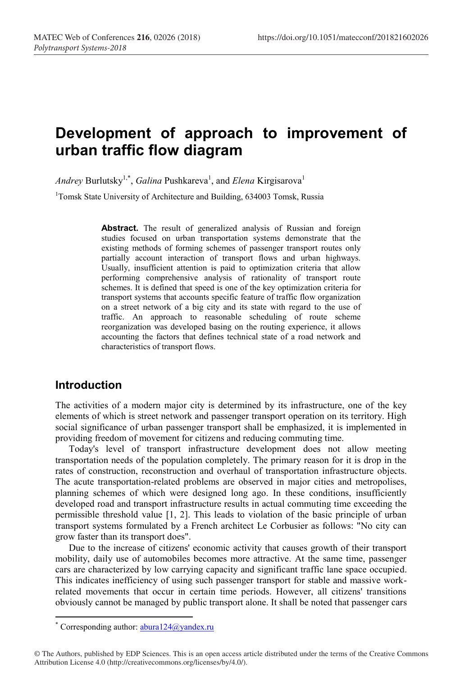# **Development of approach to improvement of urban traffic flow diagram**

*Andrey* Burlutsky<sup>1,\*</sup>, *Galina* Pushkareva<sup>1</sup>, and *Elena* Kirgisarova<sup>1</sup>

<sup>1</sup>Tomsk State University of Architecture and Building, 634003 Tomsk, Russia

Abstract. The result of generalized analysis of Russian and foreign studies focused on urban transportation systems demonstrate that the existing methods of forming schemes of passenger transport routes only partially account interaction of transport flows and urban highways. Usually, insufficient attention is paid to optimization criteria that allow performing comprehensive analysis of rationality of transport route schemes. It is defined that speed is one of the key optimization criteria for transport systems that accounts specific feature of traffic flow organization on a street network of a big city and its state with regard to the use of traffic. An approach to reasonable scheduling of route scheme reorganization was developed basing on the routing experience, it allows accounting the factors that defines technical state of a road network and characteristics of transport flows.

#### **Introduction**

**.** 

The activities of a modern major city is determined by its infrastructure, one of the key elements of which is street network and passenger transport operation on its territory. High social significance of urban passenger transport shall be emphasized, it is implemented in providing freedom of movement for citizens and reducing commuting time.

Today's level of transport infrastructure development does not allow meeting transportation needs of the population completely. The primary reason for it is drop in the rates of construction, reconstruction and overhaul of transportation infrastructure objects. The acute transportation-related problems are observed in major cities and metropolises, planning schemes of which were designed long ago. In these conditions, insufficiently developed road and transport infrastructure results in actual commuting time exceeding the permissible threshold value [1, 2]. This leads to violation of the basic principle of urban transport systems formulated by a French architect Le Corbusier as follows: "No city can grow faster than its transport does".

Due to the increase of citizens' economic activity that causes growth of their transport mobility, daily use of automobiles becomes more attractive. At the same time, passenger cars are characterized by low carrying capacity and significant traffic lane space occupied. This indicates inefficiency of using such passenger transport for stable and massive workrelated movements that occur in certain time periods. However, all citizens' transitions obviously cannot be managed by public transport alone. It shall be noted that passenger cars

<sup>\*</sup> Corresponding author:  $abura124@yandex.ru$ 

<sup>©</sup> The Authors, published by EDP Sciences. This is an open access article distributed under the terms of the Creative Commons Attribution License 4.0 (http://creativecommons.org/licenses/by/4.0/).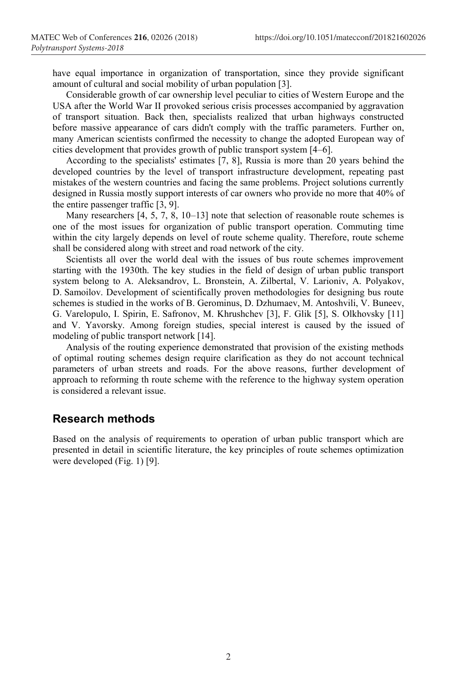have equal importance in organization of transportation, since they provide significant amount of cultural and social mobility of urban population [3].

Considerable growth of car ownership level peculiar to cities of Western Europe and the USA after the World War II provoked serious crisis processes accompanied by aggravation of transport situation. Back then, specialists realized that urban highways constructed before massive appearance of cars didn't comply with the traffic parameters. Further on, many American scientists confirmed the necessity to change the adopted European way of cities development that provides growth of public transport system [4–6].

According to the specialists' estimates [7, 8], Russia is more than 20 years behind the developed countries by the level of transport infrastructure development, repeating past mistakes of the western countries and facing the same problems. Project solutions currently designed in Russia mostly support interests of car owners who provide no more that 40% of the entire passenger traffic [3, 9].

Many researchers [4, 5, 7, 8, 10–13] note that selection of reasonable route schemes is one of the most issues for organization of public transport operation. Commuting time within the city largely depends on level of route scheme quality. Therefore, route scheme shall be considered along with street and road network of the city.

Scientists all over the world deal with the issues of bus route schemes improvement starting with the 1930th. The key studies in the field of design of urban public transport system belong to A. Aleksandrov, L. Bronstein, A. Zilbertal, V. Larioniv, A. Polyakov, D. Samoilov. Development of scientifically proven methodologies for designing bus route schemes is studied in the works of B. Gerominus, D. Dzhumaev, M. Antoshvili, V. Buneev, G. Varelopulo, I. Spirin, E. Safronov, M. Khrushchev [3], F. Glik [5], S. Olkhovsky [11] and V. Yavorsky. Among foreign studies, special interest is caused by the issued of modeling of public transport network [14].

Analysis of the routing experience demonstrated that provision of the existing methods of optimal routing schemes design require clarification as they do not account technical parameters of urban streets and roads. For the above reasons, further development of approach to reforming th route scheme with the reference to the highway system operation is considered a relevant issue.

### **Research methods**

Based on the analysis of requirements to operation of urban public transport which are presented in detail in scientific literature, the key principles of route schemes optimization were developed (Fig. 1) [9].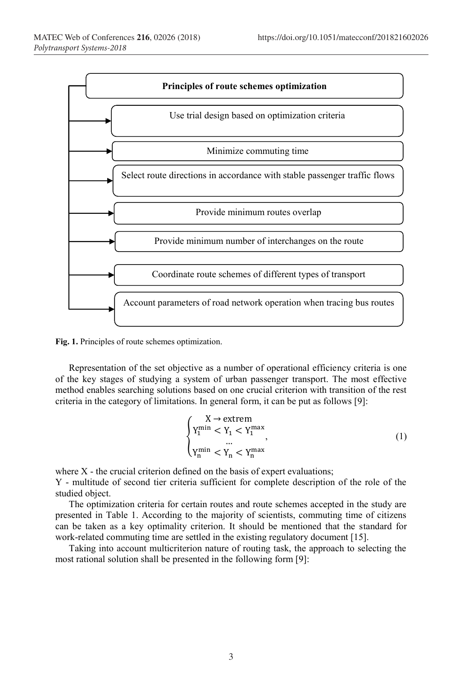

**Fig. 1.** Principles of route schemes optimization.

Representation of the set objective as a number of operational efficiency criteria is one of the key stages of studying a system of urban passenger transport. The most effective method enables searching solutions based on one crucial criterion with transition of the rest criteria in the category of limitations. In general form, it can be put as follows [9]:

$$
\begin{cases} \begin{array}{l} X \rightarrow \text{extrem} \\ Y_1^{\min} < Y_1 < Y_1^{\max} \\ \dots \\ Y_n^{\min} < Y_n < Y_n^{\max} \end{array} \end{cases} \tag{1}
$$

where  $X$  - the crucial criterion defined on the basis of expert evaluations;

Y - multitude of second tier criteria sufficient for complete description of the role of the studied object.

The optimization criteria for certain routes and route schemes accepted in the study are presented in Table 1. According to the majority of scientists, commuting time of citizens can be taken as a key optimality criterion. It should be mentioned that the standard for work-related commuting time are settled in the existing regulatory document [15].

Taking into account multicriterion nature of routing task, the approach to selecting the most rational solution shall be presented in the following form [9]: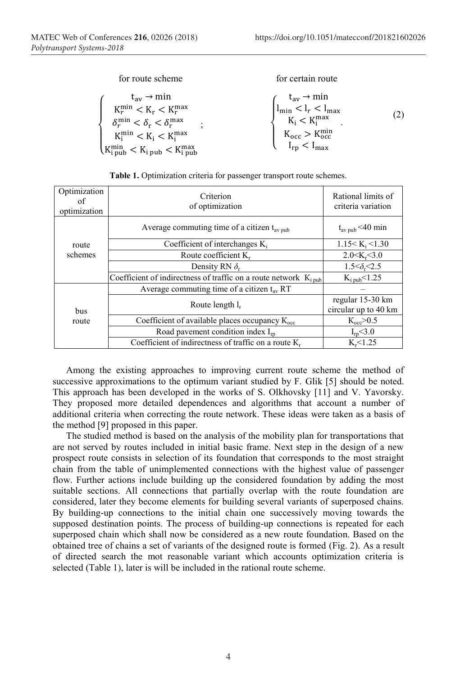for route scheme

for certain route

$$
\left\{\begin{array}{l} t_{av}\rightarrow \min \\ K_r^{\min}< K_r < K_r^{\max}\\ \delta_r^{\min}< \delta_r < \delta_r^{\max}\\ K_i^{\min}< K_i < K_i^{\max}\\ K_{ipub}< K_{ipub}< K_{ipub} \end{array}\right. ; \qquad \qquad \left\{\begin{array}{l} t_{av}\rightarrow \min \\ l_{\min}< l_r < l_{\max}\\ K_i < K_i^{\max}\\ K_{occ}> K_{occ}^{\min}\\ l_{rp}< l_{\max} \end{array}\right. \qquad (2)
$$

| Optimization<br>of<br>optimization | Criterion<br>of optimization                                                  | Rational limits of<br>criteria variation |
|------------------------------------|-------------------------------------------------------------------------------|------------------------------------------|
| route<br>schemes                   | Average commuting time of a citizen $t_{av \text{pub}}$                       | $t_{\rm av\,pub}$ <40 min                |
|                                    | Coefficient of interchanges $K_i$                                             | 1.15 < K <sub>i</sub> < 1.30             |
|                                    | Route coefficient $K_r$                                                       | 2.0 < K <sub>r</sub> < 3.0               |
|                                    | Density RN $\delta$ .                                                         | $1.5 < \delta_{\rm r} < 2.5$             |
|                                    | Coefficient of indirectness of traffic on a route network $K_{i \text{ pub}}$ | $K_{i \text{ pub}} < 1.25$               |
| <b>bus</b><br>route                | Average commuting time of a citizen $t_{av}$ RT                               |                                          |
|                                    | Route length l <sub>r</sub>                                                   | regular 15-30 km<br>circular up to 40 km |
|                                    | Coefficient of available places occupancy $K_{\rm occ}$                       | K <sub>occ</sub> > 0.5                   |
|                                    | Road pavement condition index $I_{rn}$                                        | $I_{\rm rp}$ < 3.0                       |
|                                    | Coefficient of indirectness of traffic on a route $K_r$                       | $K - 1.25$                               |

**Table 1.** Optimization criteria for passenger transport route schemes.

Among the existing approaches to improving current route scheme the method of successive approximations to the optimum variant studied by F. Glik [5] should be noted. This approach has been developed in the works of S. Olkhovsky [11] and V. Yavorsky. They proposed more detailed dependences and algorithms that account a number of additional criteria when correcting the route network. These ideas were taken as a basis of the method [9] proposed in this paper.

The studied method is based on the analysis of the mobility plan for transportations that are not served by routes included in initial basic frame. Next step in the design of a new prospect route consists in selection of its foundation that corresponds to the most straight chain from the table of unimplemented connections with the highest value of passenger flow. Further actions include building up the considered foundation by adding the most suitable sections. All connections that partially overlap with the route foundation are considered, later they become elements for building several variants of superposed chains. By building-up connections to the initial chain one successively moving towards the supposed destination points. The process of building-up connections is repeated for each superposed chain which shall now be considered as a new route foundation. Based on the obtained tree of chains a set of variants of the designed route is formed (Fig. 2). As a result of directed search the mot reasonable variant which accounts optimization criteria is selected (Table 1), later is will be included in the rational route scheme.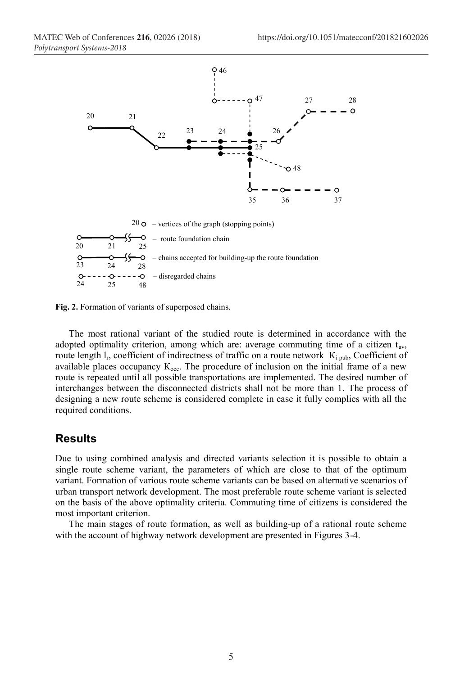

**Fig. 2.** Formation of variants of superposed chains.

The most rational variant of the studied route is determined in accordance with the adopted optimality criterion, among which are: average commuting time of a citizen tav, route length  $I_r$ , coefficient of indirectness of traffic on a route network  $K_i$ <sub>pub</sub>, Coefficient of available places occupancy  $K_{\text{occ}}$ . The procedure of inclusion on the initial frame of a new route is repeated until all possible transportations are implemented. The desired number of interchanges between the disconnected districts shall not be more than 1. The process of designing a new route scheme is considered complete in case it fully complies with all the required conditions.

#### **Results**

Due to using combined analysis and directed variants selection it is possible to obtain a single route scheme variant, the parameters of which are close to that of the optimum variant. Formation of various route scheme variants can be based on alternative scenarios of urban transport network development. The most preferable route scheme variant is selected on the basis of the above optimality criteria. Commuting time of citizens is considered the most important criterion.

The main stages of route formation, as well as building-up of a rational route scheme with the account of highway network development are presented in Figures 3-4.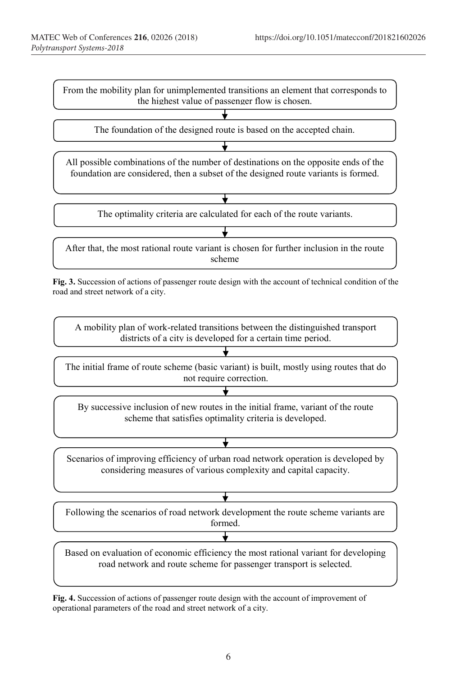

**Fig. 3.** Succession of actions of passenger route design with the account of technical condition of the road and street network of a city.

A mobility plan of work-related transitions between the distinguished transport districts of a city is developed for a certain time period.

The initial frame of route scheme (basic variant) is built, mostly using routes that do not require correction.

By successive inclusion of new routes in the initial frame, variant of the route scheme that satisfies optimality criteria is developed.

Scenarios of improving efficiency of urban road network operation is developed by considering measures of various complexity and capital capacity.

Following the scenarios of road network development the route scheme variants are formed.

Based on evaluation of economic efficiency the most rational variant for developing road network and route scheme for passenger transport is selected.

**Fig. 4.** Succession of actions of passenger route design with the account of improvement of operational parameters of the road and street network of a city.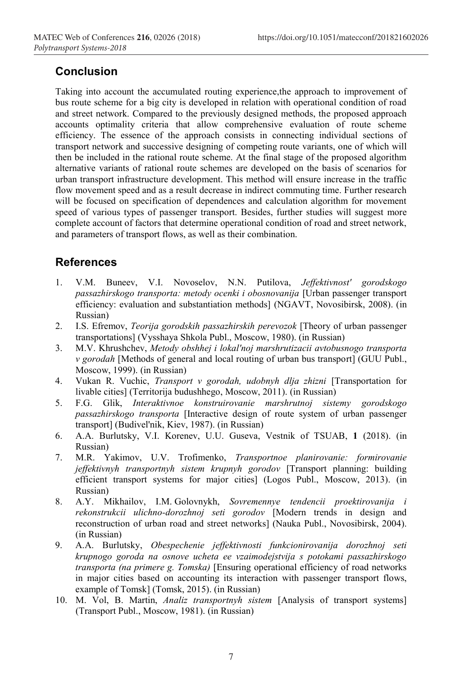# **Conclusion**

Taking into account the accumulated routing experience,the approach to improvement of bus route scheme for a big city is developed in relation with operational condition of road and street network. Compared to the previously designed methods, the proposed approach accounts optimality criteria that allow comprehensive evaluation of route scheme efficiency. The essence of the approach consists in connecting individual sections of transport network and successive designing of competing route variants, one of which will then be included in the rational route scheme. At the final stage of the proposed algorithm alternative variants of rational route schemes are developed on the basis of scenarios for urban transport infrastructure development. This method will ensure increase in the traffic flow movement speed and as a result decrease in indirect commuting time. Further research will be focused on specification of dependences and calculation algorithm for movement speed of various types of passenger transport. Besides, further studies will suggest more complete account of factors that determine operational condition of road and street network, and parameters of transport flows, as well as their combination.

## **References**

- 1. V.M. Buneev, V.I. Novoselov, N.N. Putilova, *Jeffektivnost' gorodskogo passazhirskogo transporta: metody ocenki i obosnovanija* [Urban passenger transport efficiency: evaluation and substantiation methods] (NGAVT, Novosibirsk, 2008). (in Russian)
- 2. I.S. Efremov, *Teorija gorodskih passazhirskih perevozok* [Theory of urban passenger transportations] (Vysshaya Shkola Publ., Moscow, 1980). (in Russian)
- 3. M.V. Khrushchev, *Metody obshhej i lokal'noj marshrutizacii avtobusnogo transporta v gorodah* [Methods of general and local routing of urban bus transport] (GUU Publ., Moscow, 1999). (in Russian)
- 4. Vukan R. Vuchic, *Transport v gorodah, udobnyh dlja zhizni* [Transportation for livable cities] (Territorija budushhego, Moscow, 2011). (in Russian)
- 5. F.G. Glik, *Interaktivnoe konstruirovanie marshrutnoj sistemy gorodskogo passazhirskogo transporta* [Interactive design of route system of urban passenger transport] (Budivel'nik, Kiev, 1987). (in Russian)
- 6. А.А. Burlutsky, V.I. Korenev, U.U. Guseva, Vestnik of TSUAB, **1** (2018). (in Russian)
- 7. М.R. Yakimov, U.V. Trofimenko, *Transportnoe planirovanie: formirovanie jeffektivnyh transportnyh sistem krupnyh gorodov* [Transport planning: building efficient transport systems for major cities] (Logos Publ., Moscow, 2013). (in Russian)
- 8. A.Y. Mikhailov, I.M. Golovnykh, *Sovremennye tendencii proektirovanija i rekonstrukcii ulichno-dorozhnoj seti gorodov* [Modern trends in design and reconstruction of urban road and street networks] (Nauka Publ., Novosibirsk, 2004). (in Russian)
- 9. А.А. Burlutsky, *Obespechenie jeffektivnosti funkcionirovanija dorozhnoj seti krupnogo goroda na osnove ucheta ee vzaimodejstvija s potokami passazhirskogo transporta (na primere g. Tomska)* [Ensuring operational efficiency of road networks in major cities based on accounting its interaction with passenger transport flows, example of Tomsk] (Tomsk, 2015). (in Russian)
- 10. М. Vol, B. Martin, *Analiz transportnyh sistem* [Analysis of transport systems] (Transport Publ., Moscow, 1981). (in Russian)